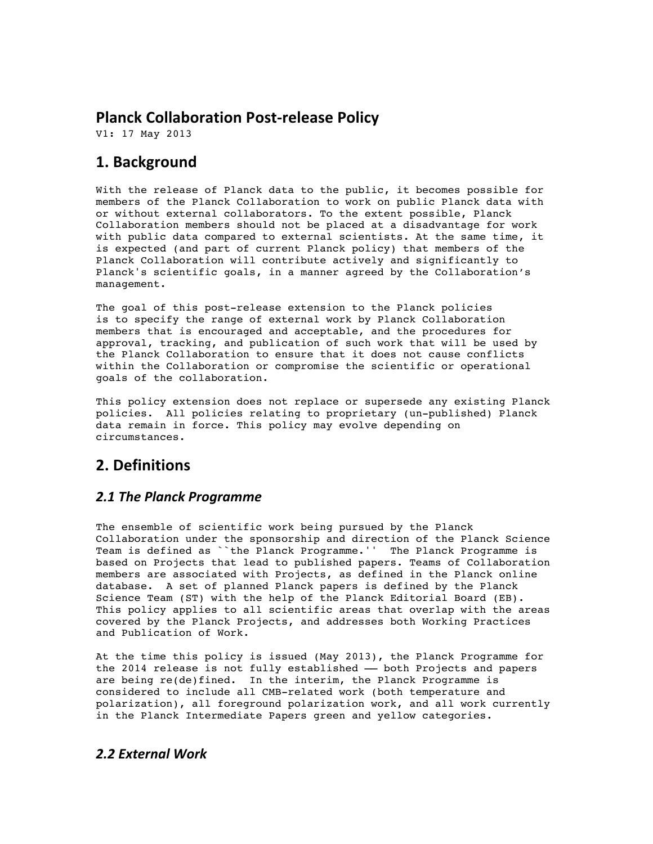## **Planck Collaboration Post-release Policy**

V1: 17 May 2013

## **1. Background**

With the release of Planck data to the public, it becomes possible for members of the Planck Collaboration to work on public Planck data with or without external collaborators. To the extent possible, Planck Collaboration members should not be placed at a disadvantage for work with public data compared to external scientists. At the same time, it is expected (and part of current Planck policy) that members of the Planck Collaboration will contribute actively and significantly to Planck's scientific goals, in a manner agreed by the Collaboration's management.

The goal of this post-release extension to the Planck policies is to specify the range of external work by Planck Collaboration members that is encouraged and acceptable, and the procedures for approval, tracking, and publication of such work that will be used by the Planck Collaboration to ensure that it does not cause conflicts within the Collaboration or compromise the scientific or operational goals of the collaboration.

This policy extension does not replace or supersede any existing Planck policies. All policies relating to proprietary (un-published) Planck data remain in force. This policy may evolve depending on circumstances.

# **2. Definitions**

### *2.1 The Planck Programme*

The ensemble of scientific work being pursued by the Planck Collaboration under the sponsorship and direction of the Planck Science Team is defined as ``the Planck Programme.'' The Planck Programme is based on Projects that lead to published papers. Teams of Collaboration members are associated with Projects, as defined in the Planck online database. A set of planned Planck papers is defined by the Planck Science Team (ST) with the help of the Planck Editorial Board (EB). This policy applies to all scientific areas that overlap with the areas covered by the Planck Projects, and addresses both Working Practices and Publication of Work.

At the time this policy is issued (May 2013), the Planck Programme for the 2014 release is not fully established - both Projects and papers are being re(de)fined. In the interim, the Planck Programme is considered to include all CMB-related work (both temperature and polarization), all foreground polarization work, and all work currently in the Planck Intermediate Papers green and yellow categories.

#### *2.2 External Work*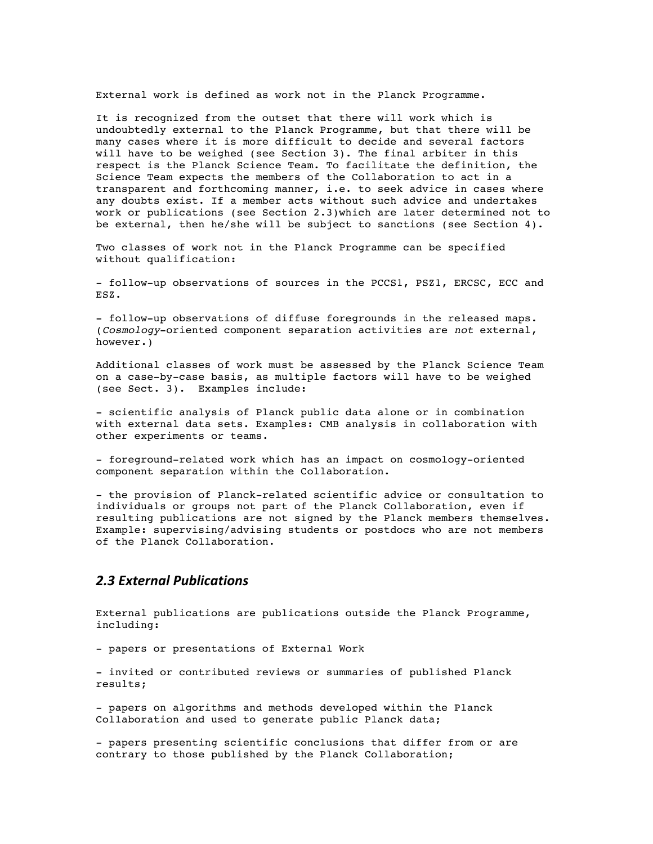External work is defined as work not in the Planck Programme.

It is recognized from the outset that there will work which is undoubtedly external to the Planck Programme, but that there will be many cases where it is more difficult to decide and several factors will have to be weighed (see Section 3). The final arbiter in this respect is the Planck Science Team. To facilitate the definition, the Science Team expects the members of the Collaboration to act in a transparent and forthcoming manner, i.e. to seek advice in cases where any doubts exist. If a member acts without such advice and undertakes work or publications (see Section 2.3)which are later determined not to be external, then he/she will be subject to sanctions (see Section 4).

Two classes of work not in the Planck Programme can be specified without qualification:

- follow-up observations of sources in the PCCS1, PSZ1, ERCSC, ECC and ESZ.

- follow-up observations of diffuse foregrounds in the released maps. (*Cosmology*-oriented component separation activities are *not* external, however.)

Additional classes of work must be assessed by the Planck Science Team on a case-by-case basis, as multiple factors will have to be weighed (see Sect. 3). Examples include:

- scientific analysis of Planck public data alone or in combination with external data sets. Examples: CMB analysis in collaboration with other experiments or teams.

- foreground-related work which has an impact on cosmology-oriented component separation within the Collaboration.

- the provision of Planck-related scientific advice or consultation to individuals or groups not part of the Planck Collaboration, even if resulting publications are not signed by the Planck members themselves. Example: supervising/advising students or postdocs who are not members of the Planck Collaboration.

#### *2.3 External Publications*

External publications are publications outside the Planck Programme, including:

- papers or presentations of External Work

- invited or contributed reviews or summaries of published Planck results;

- papers on algorithms and methods developed within the Planck Collaboration and used to generate public Planck data;

- papers presenting scientific conclusions that differ from or are contrary to those published by the Planck Collaboration;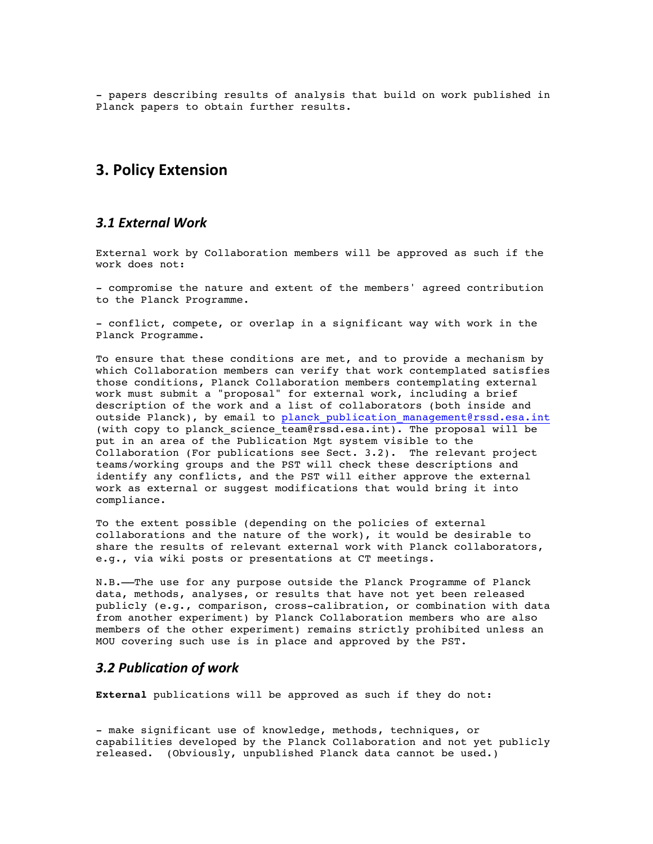- papers describing results of analysis that build on work published in Planck papers to obtain further results.

### **3. Policy Extension**

#### *3.1 External Work*

External work by Collaboration members will be approved as such if the work does not:

- compromise the nature and extent of the members' agreed contribution to the Planck Programme.

- conflict, compete, or overlap in a significant way with work in the Planck Programme.

To ensure that these conditions are met, and to provide a mechanism by which Collaboration members can verify that work contemplated satisfies those conditions, Planck Collaboration members contemplating external work must submit a "proposal" for external work, including a brief description of the work and a list of collaborators (both inside and outside Planck), by email to planck publication management@rssd.esa.int (with copy to planck science team@rssd.esa.int). The proposal will be put in an area of the Publication Mgt system visible to the Collaboration (For publications see Sect. 3.2). The relevant project teams/working groups and the PST will check these descriptions and identify any conflicts, and the PST will either approve the external work as external or suggest modifications that would bring it into compliance.

To the extent possible (depending on the policies of external collaborations and the nature of the work), it would be desirable to share the results of relevant external work with Planck collaborators, e.g., via wiki posts or presentations at CT meetings.

N.B.––The use for any purpose outside the Planck Programme of Planck data, methods, analyses, or results that have not yet been released publicly (e.g., comparison, cross-calibration, or combination with data from another experiment) by Planck Collaboration members who are also members of the other experiment) remains strictly prohibited unless an MOU covering such use is in place and approved by the PST.

#### *3.2 Publication of work*

**External** publications will be approved as such if they do not:

- make significant use of knowledge, methods, techniques, or capabilities developed by the Planck Collaboration and not yet publicly released. (Obviously, unpublished Planck data cannot be used.)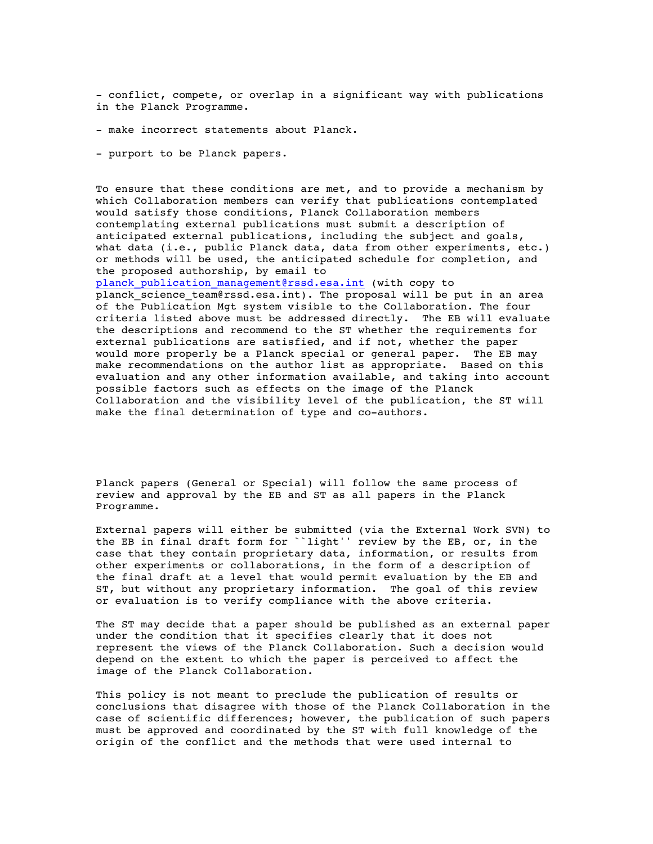- conflict, compete, or overlap in a significant way with publications in the Planck Programme.

- make incorrect statements about Planck.
- purport to be Planck papers.

To ensure that these conditions are met, and to provide a mechanism by which Collaboration members can verify that publications contemplated would satisfy those conditions, Planck Collaboration members contemplating external publications must submit a description of anticipated external publications, including the subject and goals, what data (i.e., public Planck data, data from other experiments, etc.) or methods will be used, the anticipated schedule for completion, and the proposed authorship, by email to

planck publication management@rssd.esa.int (with copy to planck science team@rssd.esa.int). The proposal will be put in an area of the Publication Mgt system visible to the Collaboration. The four criteria listed above must be addressed directly. The EB will evaluate the descriptions and recommend to the ST whether the requirements for external publications are satisfied, and if not, whether the paper would more properly be a Planck special or general paper. The EB may make recommendations on the author list as appropriate. Based on this evaluation and any other information available, and taking into account possible factors such as effects on the image of the Planck Collaboration and the visibility level of the publication, the ST will make the final determination of type and co-authors.

Planck papers (General or Special) will follow the same process of review and approval by the EB and ST as all papers in the Planck Programme.

External papers will either be submitted (via the External Work SVN) to the EB in final draft form for ``light'' review by the EB, or, in the case that they contain proprietary data, information, or results from other experiments or collaborations, in the form of a description of the final draft at a level that would permit evaluation by the EB and ST, but without any proprietary information. The goal of this review or evaluation is to verify compliance with the above criteria.

The ST may decide that a paper should be published as an external paper under the condition that it specifies clearly that it does not represent the views of the Planck Collaboration. Such a decision would depend on the extent to which the paper is perceived to affect the image of the Planck Collaboration.

This policy is not meant to preclude the publication of results or conclusions that disagree with those of the Planck Collaboration in the case of scientific differences; however, the publication of such papers must be approved and coordinated by the ST with full knowledge of the origin of the conflict and the methods that were used internal to